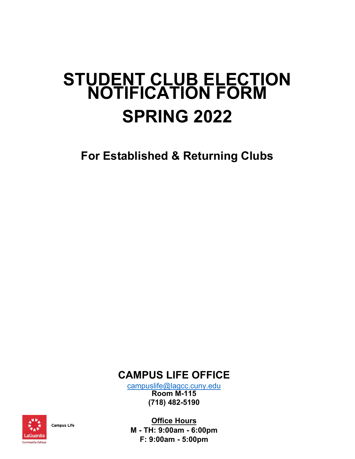## **STUDENT CLUB ELECTION NOTIFICATION FORM SPRING 2022**

**For Established & Returning Clubs**

**CAMPUS LIFE OFFICE** 

c[ampuslife@lagcc.cuny.edu](mailto:campuslife@lagcc.cuny.edu) **Room M-115 (718) 482-5190**



**Campus Life** 

**Office Hours M - TH: 9:00am - 6:00pm F: 9:00am - 5:00pm**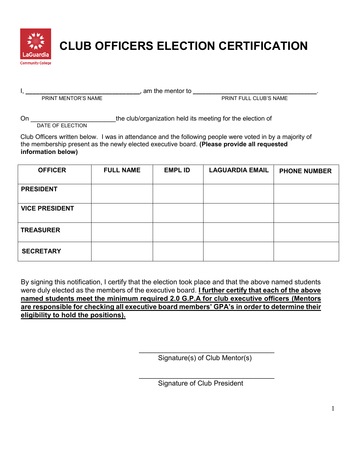

## **CLUB OFFICERS ELECTION CERTIFICATION**

I, **\_\_\_\_\_\_\_\_\_\_\_\_\_\_\_\_\_\_\_\_\_\_\_\_\_\_\_\_\_\_\_\_\_**, am the mentor to **\_\_\_\_\_\_\_\_\_\_\_\_\_\_\_\_\_\_\_\_\_\_\_\_\_\_\_\_\_\_\_\_\_\_\_\_\_\_\_**.

**PRINT FULL CLUB'S NAME** 

On **CON CON CON CON CON CON CON CON CON CON CON CON CON CON CON CON CON CON CON CON CON CON CON CON CON CON CON CON CON CON CON CON CON CON CON CON CO** 

DATE OF ELECTION

Club Officers written below. I was in attendance and the following people were voted in by a majority of the membership present as the newly elected executive board. **(Please provide all requested information below)**

| <b>OFFICER</b>        | <b>FULL NAME</b> | <b>EMPL ID</b> | <b>LAGUARDIA EMAIL</b> | <b>PHONE NUMBER</b> |
|-----------------------|------------------|----------------|------------------------|---------------------|
| <b>PRESIDENT</b>      |                  |                |                        |                     |
| <b>VICE PRESIDENT</b> |                  |                |                        |                     |
| <b>TREASURER</b>      |                  |                |                        |                     |
| <b>SECRETARY</b>      |                  |                |                        |                     |

By signing this notification, I certify that the election took place and that the above named students were duly elected as the members of the executive board. **I further certify that each of the above named students meet the minimum required 2.0 G.P.A for club executive officers (Mentors are responsible for checking all executive board members' GPA's in order to determine their eligibility to hold the positions).** 

> \_\_\_\_\_\_\_\_\_\_\_\_\_\_\_\_\_\_\_\_\_\_\_\_\_\_\_\_\_\_\_\_\_\_\_ Signature(s) of Club Mentor(s)

> $\_$

Signature of Club President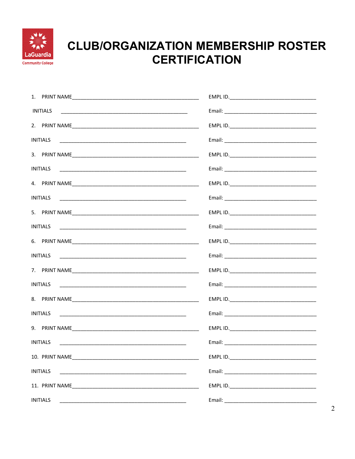

## **CLUB/ORGANIZATION MEMBERSHIP ROSTER CERTIFICATION**

| <b>INITIALS</b>                                                                                                                         |  |
|-----------------------------------------------------------------------------------------------------------------------------------------|--|
|                                                                                                                                         |  |
|                                                                                                                                         |  |
|                                                                                                                                         |  |
|                                                                                                                                         |  |
|                                                                                                                                         |  |
|                                                                                                                                         |  |
|                                                                                                                                         |  |
|                                                                                                                                         |  |
|                                                                                                                                         |  |
| <b>INITIALS</b>                                                                                                                         |  |
|                                                                                                                                         |  |
| <b>INITIALS</b><br><u> 1989 - Johann Barn, mars ar breithinn ar chuid ann an t-Alban ann an t-Alban ann an t-Alban ann an t-Alban a</u> |  |
|                                                                                                                                         |  |
| <b>INITIALS</b>                                                                                                                         |  |